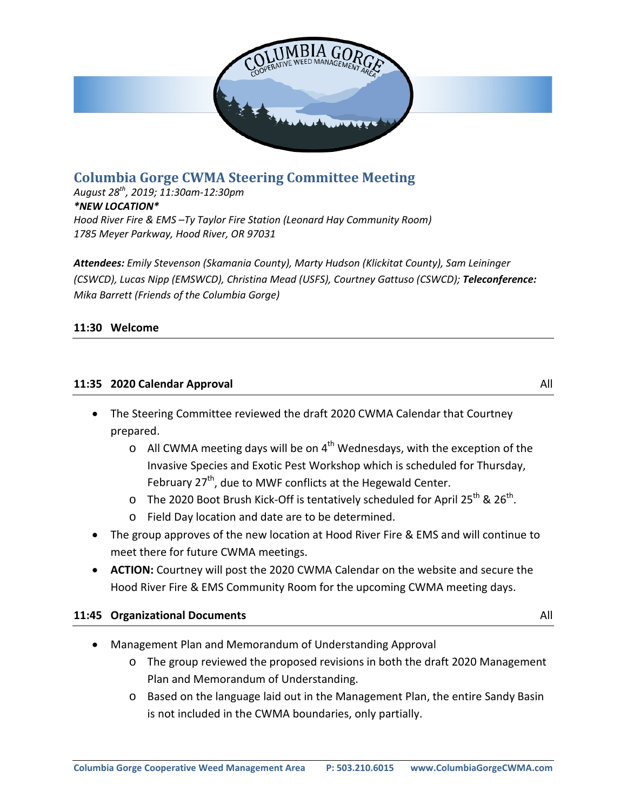

# **Columbia Gorge CWMA Steering Committee Meeting**

*August 28th, 2019; 11:30am-12:30pm \*NEW LOCATION\* Hood River Fire & EMS –Ty Taylor Fire Station (Leonard Hay Community Room) 1785 Meyer Parkway, Hood River, OR 97031*

*Attendees: Emily Stevenson (Skamania County), Marty Hudson (Klickitat County), Sam Leininger (CSWCD), Lucas Nipp (EMSWCD), Christina Mead (USFS), Courtney Gattuso (CSWCD); Teleconference: Mika Barrett (Friends of the Columbia Gorge)*

## **11:30 Welcome**

#### **11:35 2020 Calendar Approval** All

- The Steering Committee reviewed the draft 2020 CWMA Calendar that Courtney prepared.
	- $\circ$  All CWMA meeting days will be on 4<sup>th</sup> Wednesdays, with the exception of the Invasive Species and Exotic Pest Workshop which is scheduled for Thursday, February  $27<sup>th</sup>$ , due to MWF conflicts at the Hegewald Center.
	- o The 2020 Boot Brush Kick-Off is tentatively scheduled for April 25<sup>th</sup> & 26<sup>th</sup>.
	- o Field Day location and date are to be determined.
- The group approves of the new location at Hood River Fire & EMS and will continue to meet there for future CWMA meetings.
- **ACTION:** Courtney will post the 2020 CWMA Calendar on the website and secure the Hood River Fire & EMS Community Room for the upcoming CWMA meeting days.

#### **11:45 Organizational Documents** All

- Management Plan and Memorandum of Understanding Approval
	- o The group reviewed the proposed revisions in both the draft 2020 Management Plan and Memorandum of Understanding.
	- o Based on the language laid out in the Management Plan, the entire Sandy Basin is not included in the CWMA boundaries, only partially.